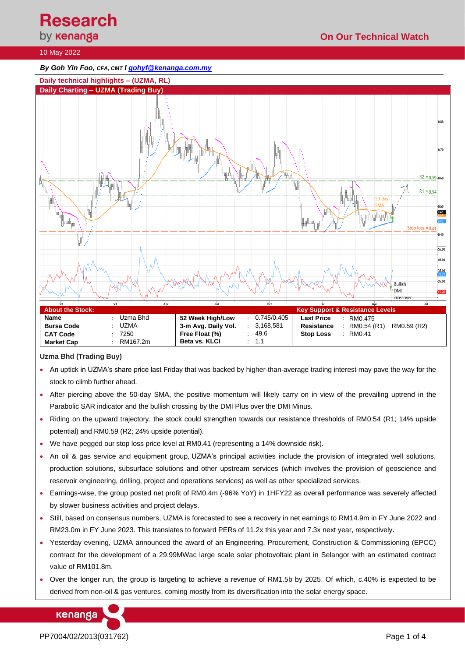# **Research**<br>by **кепапда**

# **On Our Technical Watch**

## 10 May 2022

*By Goh Yin Foo, CFA, CMT [I gohyf@kenanga.com.my](mailto:gohyf@kenanga.com.my)*



**Uzma Bhd (Trading Buy)**

- An uptick in UZMA's share price last Friday that was backed by higher-than-average trading interest may pave the way for the stock to climb further ahead.
- After piercing above the 50-day SMA, the positive momentum will likely carry on in view of the prevailing uptrend in the Parabolic SAR indicator and the bullish crossing by the DMI Plus over the DMI Minus.
- Riding on the upward trajectory, the stock could strengthen towards our resistance thresholds of RM0.54 (R1; 14% upside potential) and RM0.59 (R2; 24% upside potential).
- We have pegged our stop loss price level at RM0.41 (representing a 14% downside risk).
- An oil & gas service and equipment group, UZMA's principal activities include the provision of integrated well solutions, production solutions, subsurface solutions and other upstream services (which involves the provision of geoscience and reservoir engineering, drilling, project and operations services) as well as other specialized services.
- Earnings-wise, the group posted net profit of RM0.4m (-96% YoY) in 1HFY22 as overall performance was severely affected by slower business activities and project delays.
- Still, based on consensus numbers, UZMA is forecasted to see a recovery in net earnings to RM14.9m in FY June 2022 and RM23.0m in FY June 2023. This translates to forward PERs of 11.2x this year and 7.3x next year, respectively.
- Yesterday evening, UZMA announced the award of an Engineering, Procurement, Construction & Commissioning (EPCC) contract for the development of a 29.99MWac large scale solar photovoltaic plant in Selangor with an estimated contract value of RM101.8m.
- Over the longer run, the group is targeting to achieve a revenue of RM1.5b by 2025. Of which, c.40% is expected to be derived from non-oil & gas ventures, coming mostly from its diversification into the solar energy space.

kenanga

PP7004/02/2013(031762) Page 1 of 4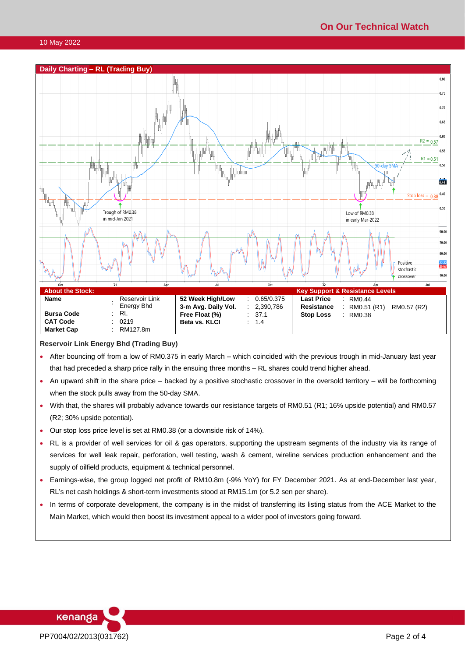

#### **Reservoir Link Energy Bhd (Trading Buy)**

- After bouncing off from a low of RM0.375 in early March which coincided with the previous trough in mid-January last year that had preceded a sharp price rally in the ensuing three months – RL shares could trend higher ahead.
- An upward shift in the share price backed by a positive stochastic crossover in the oversold territory will be forthcoming when the stock pulls away from the 50-day SMA.
- With that, the shares will probably advance towards our resistance targets of RM0.51 (R1; 16% upside potential) and RM0.57 (R2; 30% upside potential).
- Our stop loss price level is set at RM0.38 (or a downside risk of 14%).
- RL is a provider of well services for oil & gas operators, supporting the upstream segments of the industry via its range of services for well leak repair, perforation, well testing, wash & cement, wireline services production enhancement and the supply of oilfield products, equipment & technical personnel.
- Earnings-wise, the group logged net profit of RM10.8m (-9% YoY) for FY December 2021. As at end-December last year, RL's net cash holdings & short-term investments stood at RM15.1m (or 5.2 sen per share).
- In terms of corporate development, the company is in the midst of transferring its listing status from the ACE Market to the Main Market, which would then boost its investment appeal to a wider pool of investors going forward.

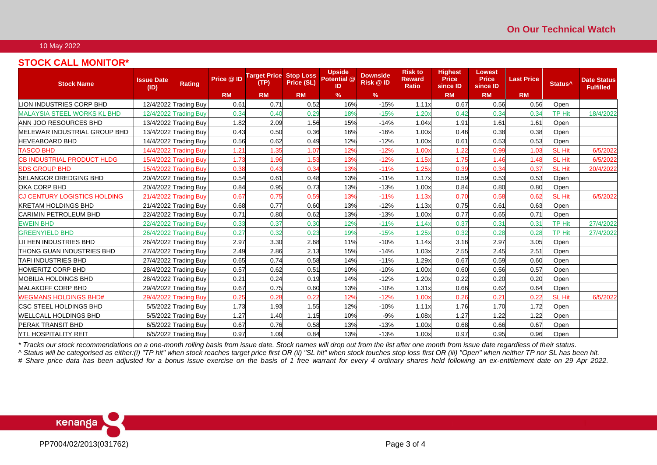### 10 May 2022

# **STOCK CALL MONITOR\***

| <b>Stock Name</b>                   | <b>Issue Date</b><br>(ID) | <b>Rating</b>         | Price @ ID | <b>Target Price</b><br>(TP) | <b>Stop Loss</b><br>Price (SL) | <b>Upside</b><br>Potential @<br>-ID | <b>Downside</b><br><b>Risk @ID</b> | <b>Risk to</b><br><b>Reward</b><br>Ratio | <b>Highest</b><br><b>Price</b><br>since ID | Lowest<br><b>Price</b><br>since ID | <b>Last Price</b> | Status <sup>^</sup> | <b>Date Status</b><br><b>Fulfilled</b> |
|-------------------------------------|---------------------------|-----------------------|------------|-----------------------------|--------------------------------|-------------------------------------|------------------------------------|------------------------------------------|--------------------------------------------|------------------------------------|-------------------|---------------------|----------------------------------------|
|                                     |                           |                       | <b>RM</b>  | <b>RM</b>                   | <b>RM</b>                      | $\%$                                | $\frac{9}{6}$                      |                                          | <b>RM</b>                                  | <b>RM</b>                          | <b>RM</b>         |                     |                                        |
| LION INDUSTRIES CORP BHD            |                           | 12/4/2022 Trading Buy | 0.61       | 0.71                        | 0.52                           | 16%                                 | $-15%$                             | 1.11x                                    | 0.67                                       | 0.56                               | 0.56              | Open                |                                        |
| <b>MALAYSIA STEEL WORKS KL BHD</b>  |                           | 12/4/2022 Trading Buy | 0.34       | 0.40                        | 0.29                           | 18%                                 | $-15%$                             | 1.20x                                    | 0.42                                       | 0.34                               | 0.34              | <b>TP Hit</b>       | 18/4/2022                              |
| <b>ANN JOO RESOURCES BHD</b>        |                           | 13/4/2022 Trading Buy | 1.82       | 2.09                        | 1.56                           | 15%                                 | $-14%$                             | 1.04x                                    | 1.91                                       | 1.61                               | 1.61              | Open                |                                        |
| <b>MELEWAR INDUSTRIAL GROUP BHD</b> |                           | 13/4/2022 Trading Buy | 0.43       | 0.50                        | 0.36                           | 16%                                 | $-16%$                             | 1.00x                                    | 0.46                                       | 0.38                               | 0.38              | Open                |                                        |
| <b>HEVEABOARD BHD</b>               |                           | 14/4/2022 Trading Buy | 0.56       | 0.62                        | 0.49                           | 12%                                 | $-12%$                             | 1.00x                                    | 0.61                                       | 0.53                               | 0.53              | Open                |                                        |
| <b>TASCO BHD</b>                    |                           | 14/4/2022 Trading Buy | 1.21       | 1.35                        | 1.07                           | 12%                                 | $-12%$                             | 1.00x                                    | 1.22                                       | 0.99                               | 1.03              | <b>SL Hit</b>       | 6/5/2022                               |
| <b>CB INDUSTRIAL PRODUCT HLDG</b>   |                           | 15/4/2022 Trading Buy | 1.73       | 1.96                        | 1.53                           | 13%                                 | $-12%$                             | 1.15x                                    | 1.75                                       | 1.46                               | 1.48              | SL Hit              | 6/5/2022                               |
| <b>SDS GROUP BHD</b>                |                           | 15/4/2022 Trading Buy | 0.38       | 0.43                        | 0.34                           | 13%                                 | $-11%$                             | 1.25x                                    | 0.39                                       | 0.34                               | 0.37              | SL Hit              | 20/4/2022                              |
| <b>SELANGOR DREDGING BHD</b>        |                           | 20/4/2022 Trading Buy | 0.54       | 0.61                        | 0.48                           | 13%                                 | $-11%$                             | 1.17x                                    | 0.59                                       | 0.53                               | 0.53              | Open                |                                        |
| OKA CORP BHD                        |                           | 20/4/2022 Trading Buy | 0.84       | 0.95                        | 0.73                           | 13%                                 | $-13%$                             | 1.00x                                    | 0.84                                       | 0.80                               | 0.80              | Open                |                                        |
| <b>CJ CENTURY LOGISTICS HOLDING</b> |                           | 21/4/2022 Trading Buy | 0.67       | 0.75                        | 0.59                           | 13%                                 | $-11%$                             | 1.13x                                    | 0.70                                       | 0.58                               | 0.62              | <b>SL Hit</b>       | 6/5/2022                               |
| <b>KRETAM HOLDINGS BHD</b>          |                           | 21/4/2022 Trading Buy | 0.68       | 0.77                        | 0.60                           | 13%                                 | $-12%$                             | 1.13x                                    | 0.75                                       | 0.61                               | 0.63              | Open                |                                        |
| <b>CARIMIN PETROLEUM BHD</b>        |                           | 22/4/2022 Trading Buy | 0.71       | 0.80                        | 0.62                           | 13%                                 | $-13%$                             | 1.00x                                    | 0.77                                       | 0.65                               | 0.71              | Open                |                                        |
| <b>EWEIN BHD</b>                    |                           | 22/4/2022 Trading Buy | 0.33       | 0.37                        | 0.30                           | 12%                                 | $-11%$                             | 1.14x                                    | 0.37                                       | 0.31                               | 0.31              | <b>TP Hit</b>       | 27/4/2022                              |
| <b>GREENYIELD BHD</b>               |                           | 26/4/2022 Trading Buy | 0.27       | 0.32                        | 0.23                           | 19%                                 | $-15%$                             | 1.25x                                    | 0.32                                       | 0.28                               | 0.28              | <b>TP Hit</b>       | 27/4/2022                              |
| LII HEN INDUSTRIES BHD              |                           | 26/4/2022 Trading Buy | 2.97       | 3.30                        | 2.68                           | 11%                                 | $-10%$                             | 1.14x                                    | 3.16                                       | 2.97                               | 3.05              | Open                |                                        |
| <b>ITHONG GUAN INDUSTRIES BHD</b>   |                           | 27/4/2022 Trading Buy | 2.49       | 2.86                        | 2.13                           | 15%                                 | $-14%$                             | 1.03x                                    | 2.55                                       | 2.45                               | 2.51              | Open                |                                        |
| <b>TAFI INDUSTRIES BHD</b>          |                           | 27/4/2022 Trading Buy | 0.65       | 0.74                        | 0.58                           | 14%                                 | $-11%$                             | 1.29x                                    | 0.67                                       | 0.59                               | 0.60              | Open                |                                        |
| <b>HOMERITZ CORP BHD</b>            |                           | 28/4/2022 Trading Buy | 0.57       | 0.62                        | 0.51                           | 10%                                 | $-10%$                             | 1.00x                                    | 0.60                                       | 0.56                               | 0.57              | Open                |                                        |
| <b>MOBILIA HOLDINGS BHD</b>         |                           | 28/4/2022 Trading Buy | 0.21       | 0.24                        | 0.19                           | 14%                                 | $-12%$                             | 1.20x                                    | 0.22                                       | 0.20                               | 0.20              | Open                |                                        |
| <b>MALAKOFF CORP BHD</b>            |                           | 29/4/2022 Trading Buy | 0.67       | 0.75                        | 0.60                           | 13%                                 | $-10%$                             | 1.31x                                    | 0.66                                       | 0.62                               | 0.64              | Open                |                                        |
| <b>WEGMANS HOLDINGS BHD#</b>        |                           | 29/4/2022 Trading Buy | 0.25       | 0.28                        | 0.22                           | 12%                                 | $-12%$                             | 1.00x                                    | 0.26                                       | 0.21                               | 0.22              | <b>SL Hit</b>       | 6/5/2022                               |
| <b>ICSC STEEL HOLDINGS BHD</b>      |                           | 5/5/2022 Trading Buy  | 1.73       | 1.93                        | 1.55                           | 12%                                 | $-10%$                             | 1.11x                                    | 1.76                                       | 1.70                               | 1.72              | Open                |                                        |
| <b>WELLCALL HOLDINGS BHD</b>        |                           | 5/5/2022 Trading Buy  | 1.27       | 1.40                        | 1.15                           | 10%                                 | $-9%$                              | 1.08x                                    | 1.27                                       | 1.22                               | 1.22              | Open                |                                        |
| <b>PERAK TRANSIT BHD</b>            |                           | 6/5/2022 Trading Buy  | 0.67       | 0.76                        | 0.58                           | 13%                                 | $-13%$                             | 1.00x                                    | 0.68                                       | 0.66                               | 0.67              | Open                |                                        |
| <b>YTL HOSPITALITY REIT</b>         |                           | 6/5/2022 Trading Buy  | 0.97       | 1.09                        | 0.84                           | 13%                                 | $-13%$                             | 1.00x                                    | 0.97                                       | 0.95                               | 0.96              | Open                |                                        |

*\* Tracks our stock recommendations on a one-month rolling basis from issue date. Stock names will drop out from the list after one month from issue date regardless of their status.*

*^ Status will be categorised as either:(i) "TP hit" when stock reaches target price first OR (ii) "SL hit" when stock touches stop loss first OR (iii) "Open" when neither TP nor SL has been hit.*

# Share price data has been adjusted for a bonus issue exercise on the basis of 1 free warrant for every 4 ordinary shares held following an ex-entitlement date on 29 Apr 2022.